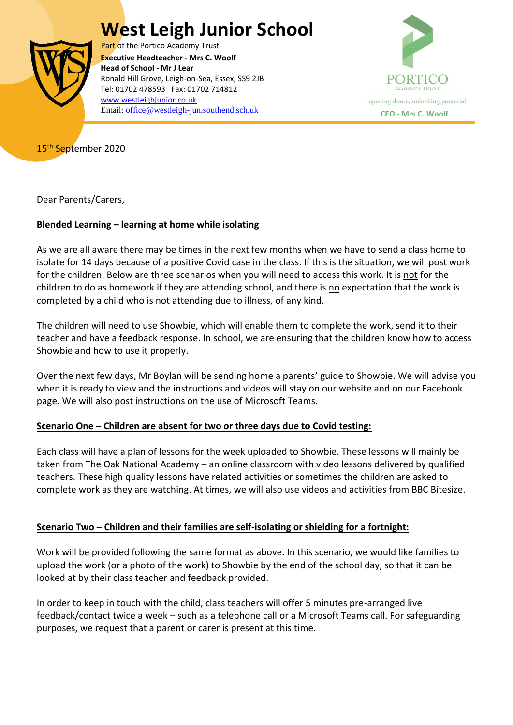# **West Leigh Junior School**



Part of the Portico Academy Trust  Ronald Hill Grove, Leigh-on-Sea, Essex, SS9 2JB **Executive Headteacher - Mrs C. Woolf Head of School - Mr J Lear** Tel: 01702 478593 Fax: 01702 714812 [www.westleighjunior.co.uk](http://www.westleighjunior.co.uk/) Email: [office@westleigh-jun.southend.sch.uk](mailto:office@westleigh-jun.southend.sch.uk) **CEO** - Mrs C. Woolf



15<sup>th</sup> September 2020

Dear Parents/Carers,

## **Blended Learning – learning at home while isolating**

As we are all aware there may be times in the next few months when we have to send a class home to isolate for 14 days because of a positive Covid case in the class. If this is the situation, we will post work for the children. Below are three scenarios when you will need to access this work. It is not for the children to do as homework if they are attending school, and there is no expectation that the work is completed by a child who is not attending due to illness, of any kind.

The children will need to use Showbie, which will enable them to complete the work, send it to their teacher and have a feedback response. In school, we are ensuring that the children know how to access Showbie and how to use it properly.

Over the next few days, Mr Boylan will be sending home a parents' guide to Showbie. We will advise you when it is ready to view and the instructions and videos will stay on our website and on our Facebook page. We will also post instructions on the use of Microsoft Teams.

### **Scenario One – Children are absent for two or three days due to Covid testing:**

Each class will have a plan of lessons for the week uploaded to Showbie. These lessons will mainly be taken from The Oak National Academy – an online classroom with video lessons delivered by qualified teachers. These high quality lessons have related activities or sometimes the children are asked to complete work as they are watching. At times, we will also use videos and activities from BBC Bitesize.

### **Scenario Two – Children and their families are self-isolating or shielding for a fortnight:**

Work will be provided following the same format as above. In this scenario, we would like families to upload the work (or a photo of the work) to Showbie by the end of the school day, so that it can be looked at by their class teacher and feedback provided.

In order to keep in touch with the child, class teachers will offer 5 minutes pre-arranged live feedback/contact twice a week – such as a telephone call or a Microsoft Teams call. For safeguarding purposes, we request that a parent or carer is present at this time.